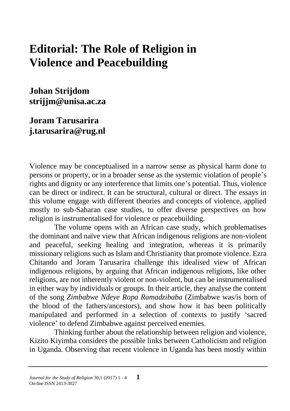## **Editorial: The Role of Religion in Violence and Peacebuilding**

**Johan Strijdom strijjm@unisa.ac.za**

**Joram Tarusarira j.tarusarira@rug.nl**

Violence may be conceptualised in a narrow sense as physical harm done to persons or property, or in a broader sense as the systemic violation of people's rights and dignity or any interference that limits one's potential. Thus, violence can be direct or indirect. It can be structural, cultural or direct. The essays in this volume engage with different theories and concepts of violence, applied mostly to sub-Saharan case studies, to offer diverse perspectives on how religion is instrumentalised for violence or peacebuilding.

The volume opens with an African case study, which problematises the dominant and naïve view that African indigenous religions are non-violent and peaceful, seeking healing and integration, whereas it is primarily missionary religions such as Islam and Christianity that promote violence. Ezra Chitando and Joram Tarusarira challenge this idealised view of African indigenous religions, by arguing that African indigenous religions, like other religions, are not inherently violent or non-violent, but can be instrumentalised in either way by individuals or groups. In their article, they analyse the content of the song *Zimbabwe Ndeye Ropa Ramadzibaba* (Zimbabwe was/is born of the blood of the fathers/ancestors), and show how it has been politically manipulated and performed in a selection of contexts to justify 'sacred violence' to defend Zimbabwe against perceived enemies.

Thinking further about the relationship between religion and violence, Kizito Kiyimba considers the possible links between Catholicism and religion in Uganda. Observing that recent violence in Uganda has been mostly within

*Journal for the Study of Religion* 30,1 (2017) 1 - 4 **1** On-line ISSN 2413-3027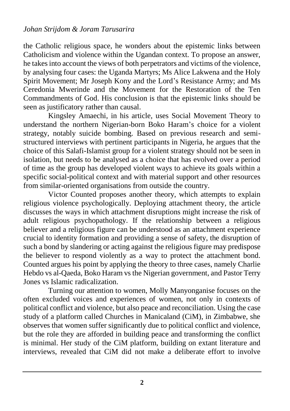the Catholic religious space, he wonders about the epistemic links between Catholicism and violence within the Ugandan context. To propose an answer, he takes into account the views of both perpetrators and victims of the violence, by analysing four cases: the Uganda Martyrs; Ms Alice Lakwena and the Holy Spirit Movement; Mr Joseph Kony and the Lord's Resistance Army; and Ms Ceredonia Mwerinde and the Movement for the Restoration of the Ten Commandments of God. His conclusion is that the epistemic links should be seen as justificatory rather than causal.

Kingsley Amaechi, in his article, uses Social Movement Theory to understand the northern Nigerian-born Boko Haram's choice for a violent strategy, notably suicide bombing. Based on previous research and semistructured interviews with pertinent participants in Nigeria, he argues that the choice of this Salafi-Islamist group for a violent strategy should not be seen in isolation, but needs to be analysed as a choice that has evolved over a period of time as the group has developed violent ways to achieve its goals within a specific social-political context and with material support and other resources from similar-oriented organisations from outside the country.

Victor Counted proposes another theory, which attempts to explain religious violence psychologically. Deploying attachment theory, the article discusses the ways in which attachment disruptions might increase the risk of adult religious psychopathology. If the relationship between a religious believer and a religious figure can be understood as an attachment experience crucial to identity formation and providing a sense of safety, the disruption of such a bond by slandering or acting against the religious figure may predispose the believer to respond violently as a way to protect the attachment bond. Counted argues his point by applying the theory to three cases, namely Charlie Hebdo vs al-Qaeda, Boko Haram vs the Nigerian government, and Pastor Terry Jones vs Islamic radicalization.

Turning our attention to women, Molly Manyonganise focuses on the often excluded voices and experiences of women, not only in contexts of political conflict and violence, but also peace and reconciliation. Using the case study of a platform called Churches in Manicaland (CiM), in Zimbabwe, she observes that women suffer significantly due to political conflict and violence, but the role they are afforded in building peace and transforming the conflict is minimal. Her study of the CiM platform, building on extant literature and interviews, revealed that CiM did not make a deliberate effort to involve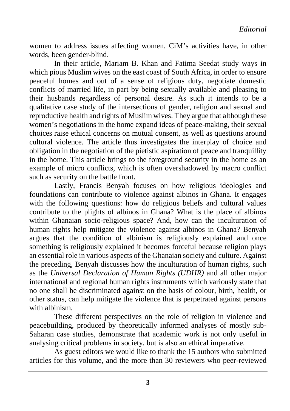women to address issues affecting women. CiM's activities have, in other words, been gender-blind.

In their article, Mariam B. Khan and Fatima Seedat study ways in which pious Muslim wives on the east coast of South Africa, in order to ensure peaceful homes and out of a sense of religious duty, negotiate domestic conflicts of married life, in part by being sexually available and pleasing to their husbands regardless of personal desire. As such it intends to be a qualitative case study of the intersections of gender, religion and sexual and reproductive health and rights of Muslim wives. They argue that although these women's negotiations in the home expand ideas of peace-making, their sexual choices raise ethical concerns on mutual consent, as well as questions around cultural violence. The article thus investigates the interplay of choice and obligation in the negotiation of the pietistic aspiration of peace and tranquillity in the home. This article brings to the foreground security in the home as an example of micro conflicts, which is often overshadowed by macro conflict such as security on the battle front.

Lastly, Francis Benyah focuses on how religious ideologies and foundations can contribute to violence against albinos in Ghana. It engages with the following questions: how do religious beliefs and cultural values contribute to the plights of albinos in Ghana? What is the place of albinos within Ghanaian socio-religious space? And, how can the inculturation of human rights help mitigate the violence against albinos in Ghana? Benyah argues that the condition of albinism is religiously explained and once something is religiously explained it becomes forceful because religion plays an essential role in various aspects of the Ghanaian society and culture. Against the preceding, Benyah discusses how the inculturation of human rights, such as the *Universal Declaration of Human Rights (UDHR)* and all other major international and regional human rights instruments which variously state that no one shall be discriminated against on the basis of colour, birth, health, or other status, can help mitigate the violence that is perpetrated against persons with albinism.

These different perspectives on the role of religion in violence and peacebuilding, produced by theoretically informed analyses of mostly sub-Saharan case studies, demonstrate that academic work is not only useful in analysing critical problems in society, but is also an ethical imperative.

As guest editors we would like to thank the 15 authors who submitted articles for this volume, and the more than 30 reviewers who peer-reviewed